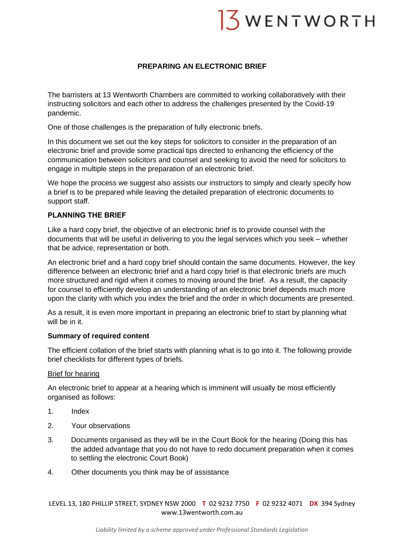# $3$  WENTWORTH

# **PREPARING AN ELECTRONIC BRIEF**

The barristers at 13 Wentworth Chambers are committed to working collaboratively with their instructing solicitors and each other to address the challenges presented by the Covid-19 pandemic.

One of those challenges is the preparation of fully electronic briefs.

In this document we set out the key steps for solicitors to consider in the preparation of an electronic brief and provide some practical tips directed to enhancing the efficiency of the communication between solicitors and counsel and seeking to avoid the need for solicitors to engage in multiple steps in the preparation of an electronic brief.

We hope the process we suggest also assists our instructors to simply and clearly specify how a brief is to be prepared while leaving the detailed preparation of electronic documents to support staff.

# **PLANNING THE BRIEF**

Like a hard copy brief, the objective of an electronic brief is to provide counsel with the documents that will be useful in delivering to you the legal services which you seek – whether that be advice, representation or both.

An electronic brief and a hard copy brief should contain the same documents. However, the key difference between an electronic brief and a hard copy brief is that electronic briefs are much more structured and rigid when it comes to moving around the brief. As a result, the capacity for counsel to efficiently develop an understanding of an electronic brief depends much more upon the clarity with which you index the brief and the order in which documents are presented.

As a result, it is even more important in preparing an electronic brief to start by planning what will be in it.

#### **Summary of required content**

The efficient collation of the brief starts with planning what is to go into it. The following provide brief checklists for different types of briefs.

#### Brief for hearing

An electronic brief to appear at a hearing which is imminent will usually be most efficiently organised as follows:

- 1. Index
- 2. Your observations
- 3. Documents organised as they will be in the Court Book for the hearing (Doing this has the added advantage that you do not have to redo document preparation when it comes to settling the electronic Court Book)
- 4. Other documents you think may be of assistance

LEVEL 13, 180 PHILLIP STREET, SYDNEY NSW 2000 **T** 02 9232 7750 **F** 02 9232 4071 **DX** 394 Sydney www.13wentworth.com.au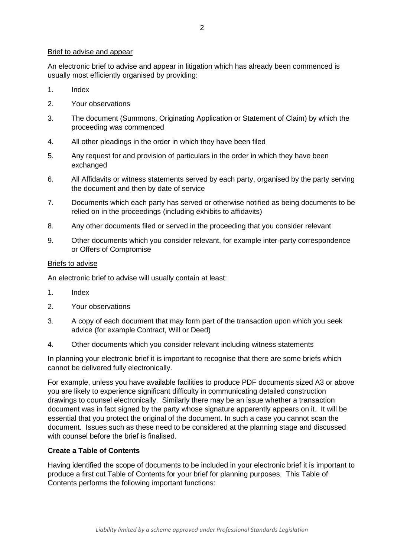#### Brief to advise and appear

An electronic brief to advise and appear in litigation which has already been commenced is usually most efficiently organised by providing:

- 1. Index
- 2. Your observations
- 3. The document (Summons, Originating Application or Statement of Claim) by which the proceeding was commenced
- 4. All other pleadings in the order in which they have been filed
- 5. Any request for and provision of particulars in the order in which they have been exchanged
- 6. All Affidavits or witness statements served by each party, organised by the party serving the document and then by date of service
- 7. Documents which each party has served or otherwise notified as being documents to be relied on in the proceedings (including exhibits to affidavits)
- 8. Any other documents filed or served in the proceeding that you consider relevant
- 9. Other documents which you consider relevant, for example inter-party correspondence or Offers of Compromise

#### Briefs to advise

An electronic brief to advise will usually contain at least:

- 1. Index
- 2. Your observations
- 3. A copy of each document that may form part of the transaction upon which you seek advice (for example Contract, Will or Deed)
- 4. Other documents which you consider relevant including witness statements

In planning your electronic brief it is important to recognise that there are some briefs which cannot be delivered fully electronically.

For example, unless you have available facilities to produce PDF documents sized A3 or above you are likely to experience significant difficulty in communicating detailed construction drawings to counsel electronically. Similarly there may be an issue whether a transaction document was in fact signed by the party whose signature apparently appears on it. It will be essential that you protect the original of the document. In such a case you cannot scan the document. Issues such as these need to be considered at the planning stage and discussed with counsel before the brief is finalised.

# **Create a Table of Contents**

Having identified the scope of documents to be included in your electronic brief it is important to produce a first cut Table of Contents for your brief for planning purposes. This Table of Contents performs the following important functions: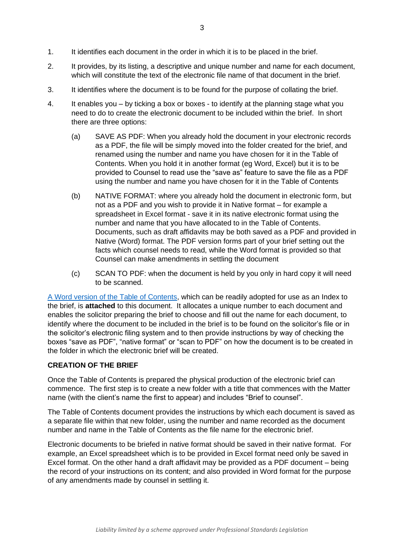- 1. It identifies each document in the order in which it is to be placed in the brief.
- 2. It provides, by its listing, a descriptive and unique number and name for each document, which will constitute the text of the electronic file name of that document in the brief.
- 3. It identifies where the document is to be found for the purpose of collating the brief.
- 4. It enables you by ticking a box or boxes to identify at the planning stage what you need to do to create the electronic document to be included within the brief. In short there are three options:
	- (a) SAVE AS PDF: When you already hold the document in your electronic records as a PDF, the file will be simply moved into the folder created for the brief, and renamed using the number and name you have chosen for it in the Table of Contents. When you hold it in another format (eg Word, Excel) but it is to be provided to Counsel to read use the "save as" feature to save the file as a PDF using the number and name you have chosen for it in the Table of Contents
	- (b) NATIVE FORMAT: where you already hold the document in electronic form, but not as a PDF and you wish to provide it in Native format – for example a spreadsheet in Excel format - save it in its native electronic format using the number and name that you have allocated to in the Table of Contents. Documents, such as draft affidavits may be both saved as a PDF and provided in Native (Word) format. The PDF version forms part of your brief setting out the facts which counsel needs to read, while the Word format is provided so that Counsel can make amendments in settling the document
	- (c) SCAN TO PDF: when the document is held by you only in hard copy it will need to be scanned.

[A Word version of the Table of Contents,](https://www.13wentworth.com.au/wp-content/uploads/2020/04/Electronic-briefs-to-Counsel-Index.docx) which can be readily adopted for use as an Index to the brief, is **attached** to this document. It allocates a unique number to each document and enables the solicitor preparing the brief to choose and fill out the name for each document, to identify where the document to be included in the brief is to be found on the solicitor's file or in the solicitor's electronic filing system and to then provide instructions by way of checking the boxes "save as PDF", "native format" or "scan to PDF" on how the document is to be created in the folder in which the electronic brief will be created.

# **CREATION OF THE BRIEF**

Once the Table of Contents is prepared the physical production of the electronic brief can commence. The first step is to create a new folder with a title that commences with the Matter name (with the client's name the first to appear) and includes "Brief to counsel".

The Table of Contents document provides the instructions by which each document is saved as a separate file within that new folder, using the number and name recorded as the document number and name in the Table of Contents as the file name for the electronic brief.

Electronic documents to be briefed in native format should be saved in their native format. For example, an Excel spreadsheet which is to be provided in Excel format need only be saved in Excel format. On the other hand a draft affidavit may be provided as a PDF document – being the record of your instructions on its content; and also provided in Word format for the purpose of any amendments made by counsel in settling it.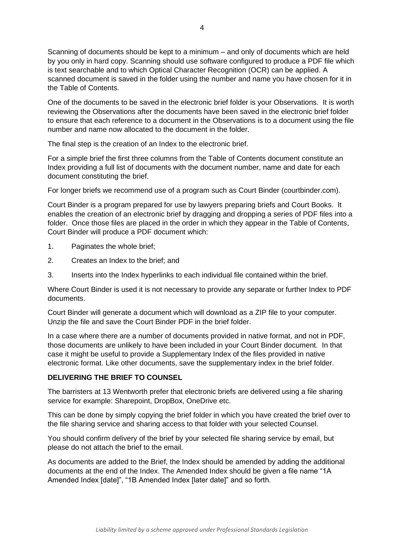Scanning of documents should be kept to a minimum – and only of documents which are held by you only in hard copy. Scanning should use software configured to produce a PDF file which is text searchable and to which Optical Character Recognition (OCR) can be applied. A scanned document is saved in the folder using the number and name you have chosen for it in the Table of Contents.

One of the documents to be saved in the electronic brief folder is your Observations. It is worth reviewing the Observations after the documents have been saved in the electronic brief folder to ensure that each reference to a document in the Observations is to a document using the file number and name now allocated to the document in the folder.

The final step is the creation of an Index to the electronic brief.

For a simple brief the first three columns from the Table of Contents document constitute an Index providing a full list of documents with the document number, name and date for each document constituting the brief.

For longer briefs we recommend use of a program such as Court Binder (courtbinder.com).

Court Binder is a program prepared for use by lawyers preparing briefs and Court Books. It enables the creation of an electronic brief by dragging and dropping a series of PDF files into a folder. Once those files are placed in the order in which they appear in the Table of Contents, Court Binder will produce a PDF document which:

- 1. Paginates the whole brief;
- 2. Creates an Index to the brief; and
- 3. Inserts into the Index hyperlinks to each individual file contained within the brief.

Where Court Binder is used it is not necessary to provide any separate or further Index to PDF documents.

Court Binder will generate a document which will download as a ZIP file to your computer. Unzip the file and save the Court Binder PDF in the brief folder.

In a case where there are a number of documents provided in native format, and not in PDF, those documents are unlikely to have been included in your Court Binder document. In that case it might be useful to provide a Supplementary Index of the files provided in native electronic format. Like other documents, save the supplementary index in the brief folder.

#### **DELIVERING THE BRIEF TO COUNSEL**

The barristers at 13 Wentworth prefer that electronic briefs are delivered using a file sharing service for example: Sharepoint, DropBox, OneDrive etc.

This can be done by simply copying the brief folder in which you have created the brief over to the file sharing service and sharing access to that folder with your selected Counsel.

You should confirm delivery of the brief by your selected file sharing service by email, but please do not attach the brief to the email.

As documents are added to the Brief, the Index should be amended by adding the additional documents at the end of the Index. The Amended Index should be given a file name "1A Amended Index [date]", "1B Amended Index [later date]" and so forth.